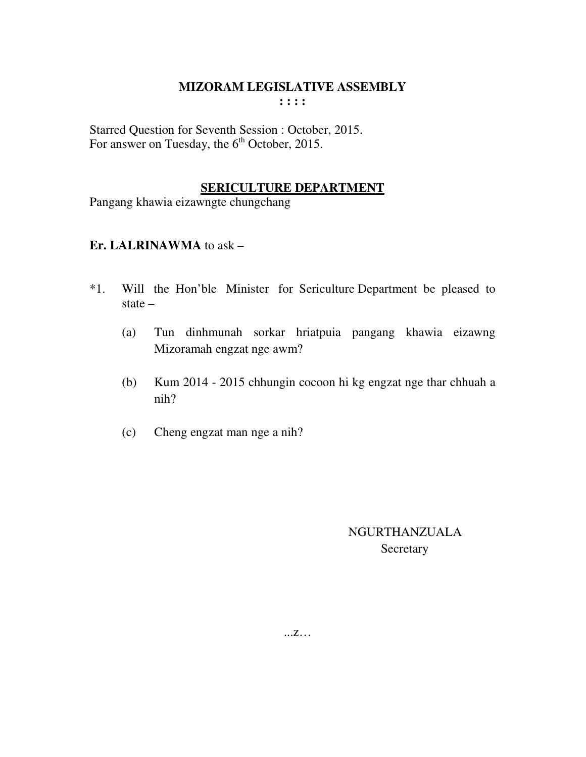Starred Question for Seventh Session : October, 2015. For answer on Tuesday, the  $6<sup>th</sup>$  October, 2015.

#### **SERICULTURE DEPARTMENT**

Pangang khawia eizawngte chungchang

## **Er. LALRINAWMA** to ask –

- \*1. Will the Hon'ble Minister for Sericulture Department be pleased to state –
	- (a) Tun dinhmunah sorkar hriatpuia pangang khawia eizawng Mizoramah engzat nge awm?
	- (b) Kum 2014 2015 chhungin cocoon hi kg engzat nge thar chhuah a nih?
	- (c) Cheng engzat man nge a nih?

 NGURTHANZUALA **Secretary**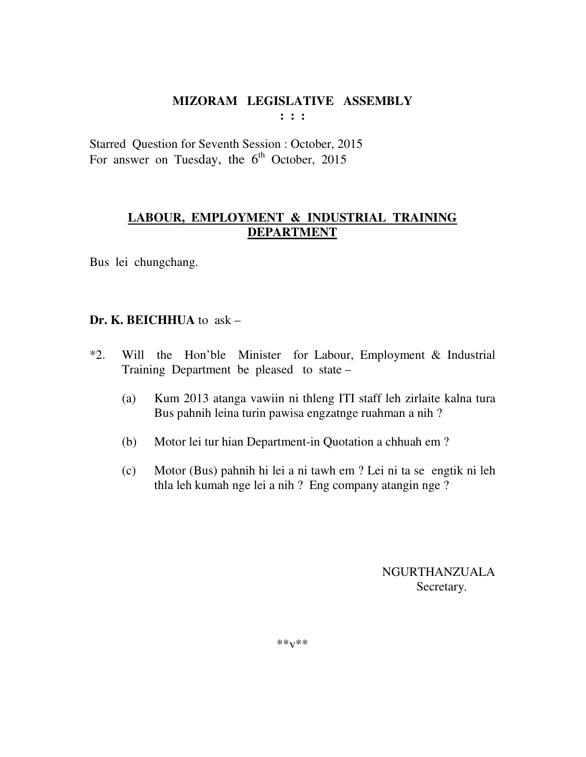**: : :** 

Starred Question for Seventh Session : October, 2015 For answer on Tuesday, the  $6<sup>th</sup>$  October, 2015

## **LABOUR, EMPLOYMENT & INDUSTRIAL TRAINING DEPARTMENT**

Bus lei chungchang.

## **Dr. K. BEICHHUA** to ask –

- \*2. Will the Hon'ble Minister for Labour, Employment & Industrial Training Department be pleased to state –
	- (a) Kum 2013 atanga vawiin ni thleng ITI staff leh zirlaite kalna tura Bus pahnih leina turin pawisa engzatnge ruahman a nih ?
	- (b) Motor lei tur hian Department-in Quotation a chhuah em ?
	- (c) Motor (Bus) pahnih hi lei a ni tawh em ? Lei ni ta se engtik ni leh thla leh kumah nge lei a nih ? Eng company atangin nge ?

 NGURTHANZUALA Secretary.

\*\*v\*\*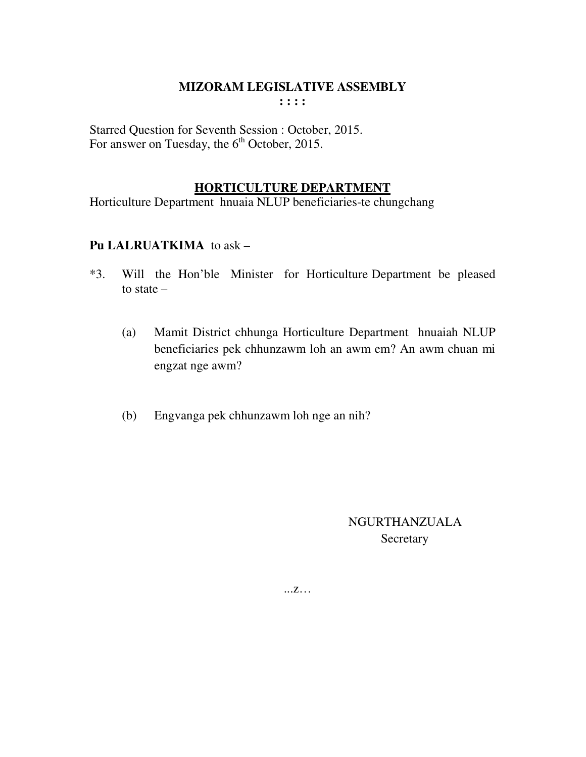Starred Question for Seventh Session : October, 2015. For answer on Tuesday, the  $6<sup>th</sup>$  October, 2015.

## **HORTICULTURE DEPARTMENT**

Horticulture Department hnuaia NLUP beneficiaries-te chungchang

## **Pu LALRUATKIMA** to ask –

- \*3. Will the Hon'ble Minister for Horticulture Department be pleased to state –
	- (a) Mamit District chhunga Horticulture Department hnuaiah NLUP beneficiaries pek chhunzawm loh an awm em? An awm chuan mi engzat nge awm?
	- (b) Engvanga pek chhunzawm loh nge an nih?

 NGURTHANZUALA **Secretary**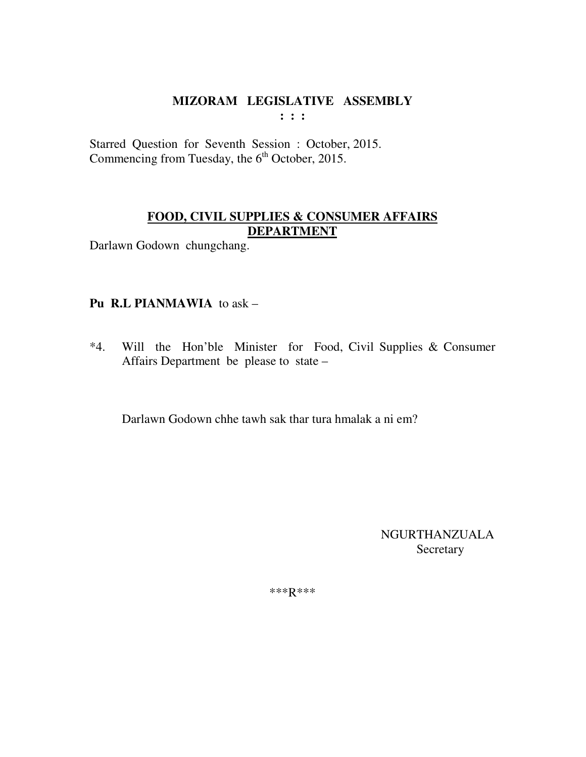**: : :** 

Starred Question for Seventh Session : October, 2015. Commencing from Tuesday, the 6<sup>th</sup> October, 2015.

## **FOOD, CIVIL SUPPLIES & CONSUMER AFFAIRS DEPARTMENT**

Darlawn Godown chungchang.

## **Pu R.L PIANMAWIA** to ask –

\*4. Will the Hon'ble Minister for Food, Civil Supplies & Consumer Affairs Department be please to state –

Darlawn Godown chhe tawh sak thar tura hmalak a ni em?

 NGURTHANZUALA **Secretary** 

\*\*\*R\*\*\*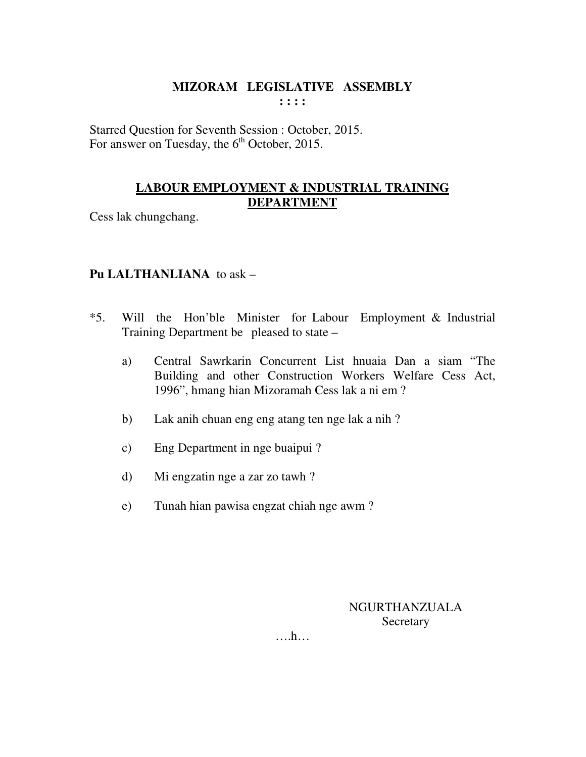Starred Question for Seventh Session : October, 2015. For answer on Tuesday, the  $6<sup>th</sup>$  October, 2015.

## **LABOUR EMPLOYMENT & INDUSTRIAL TRAINING DEPARTMENT**

Cess lak chungchang.

## **Pu LALTHANLIANA** to ask –

- \*5. Will the Hon'ble Minister for Labour Employment & Industrial Training Department be pleased to state –
	- a) Central Sawrkarin Concurrent List hnuaia Dan a siam "The Building and other Construction Workers Welfare Cess Act, 1996", hmang hian Mizoramah Cess lak a ni em ?
	- b) Lak anih chuan eng eng atang ten nge lak a nih ?
	- c) Eng Department in nge buaipui ?
	- d) Mi engzatin nge a zar zo tawh ?
	- e) Tunah hian pawisa engzat chiah nge awm ?

NGURTHANZUALA **Secretary** 

….h…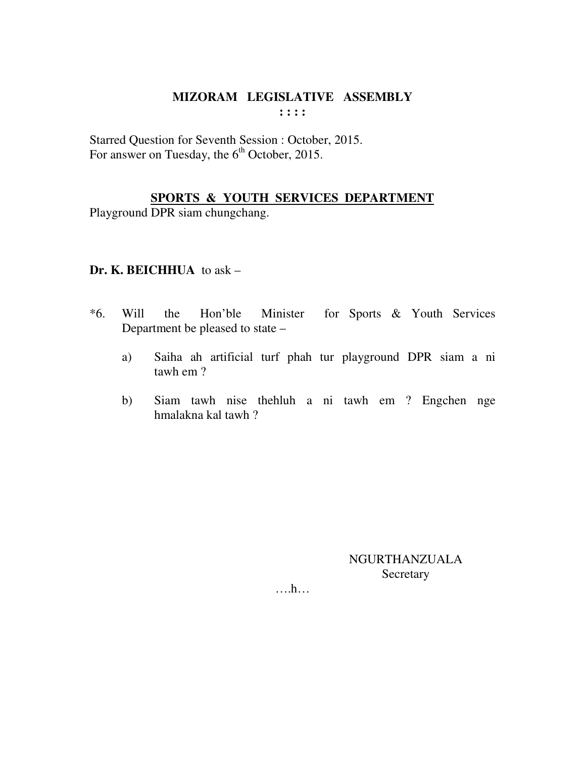Starred Question for Seventh Session : October, 2015. For answer on Tuesday, the  $6<sup>th</sup>$  October, 2015.

## **SPORTS & YOUTH SERVICES DEPARTMENT**

Playground DPR siam chungchang.

#### **Dr. K. BEICHHUA** to ask –

- \*6. Will the Hon'ble Minister for Sports & Youth Services Department be pleased to state –
	- a) Saiha ah artificial turf phah tur playground DPR siam a ni tawh em ?
	- b) Siam tawh nise thehluh a ni tawh em ? Engchen nge hmalakna kal tawh ?

NGURTHANZUALA **Secretary** 

….h…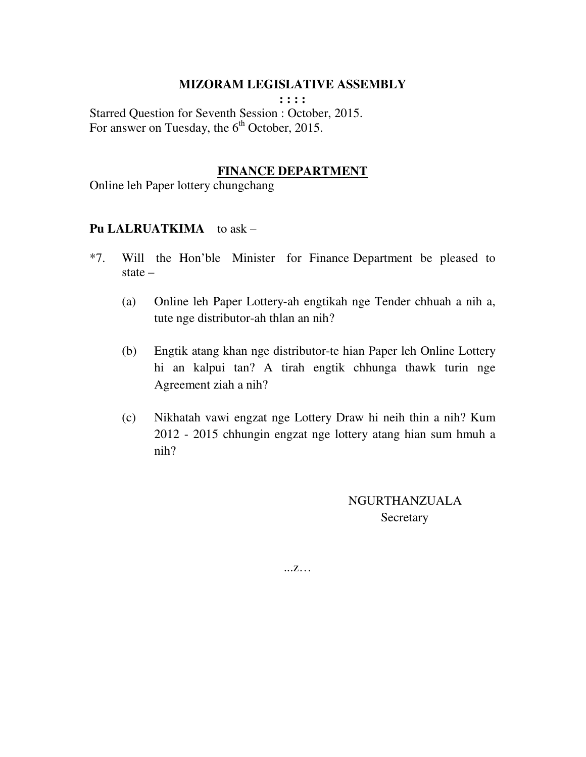**: : : :**  Starred Question for Seventh Session : October, 2015. For answer on Tuesday, the  $6<sup>th</sup>$  October, 2015.

#### **FINANCE DEPARTMENT**

Online leh Paper lottery chungchang

#### Pu LALRUATKIMA to ask –

- \*7. Will the Hon'ble Minister for Finance Department be pleased to state –
	- (a) Online leh Paper Lottery-ah engtikah nge Tender chhuah a nih a, tute nge distributor-ah thlan an nih?
	- (b) Engtik atang khan nge distributor-te hian Paper leh Online Lottery hi an kalpui tan? A tirah engtik chhunga thawk turin nge Agreement ziah a nih?
	- (c) Nikhatah vawi engzat nge Lottery Draw hi neih thin a nih? Kum 2012 - 2015 chhungin engzat nge lottery atang hian sum hmuh a nih?

 NGURTHANZUALA **Secretary**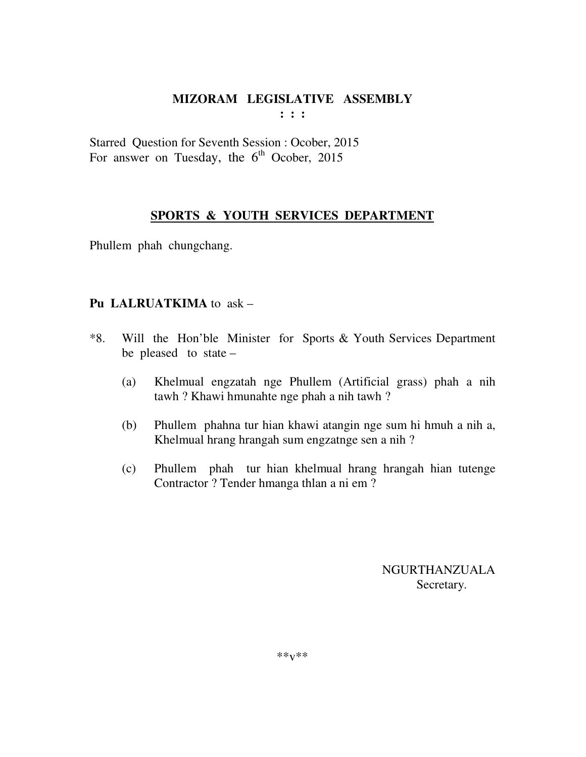**: : :** 

Starred Question for Seventh Session : Ocober, 2015 For answer on Tuesday, the  $6<sup>th</sup>$  Ocober, 2015

## **SPORTS & YOUTH SERVICES DEPARTMENT**

Phullem phah chungchang.

## **Pu LALRUATKIMA** to ask –

- \*8. Will the Hon'ble Minister for Sports & Youth Services Department be pleased to state –
	- (a) Khelmual engzatah nge Phullem (Artificial grass) phah a nih tawh ? Khawi hmunahte nge phah a nih tawh ?
	- (b) Phullem phahna tur hian khawi atangin nge sum hi hmuh a nih a, Khelmual hrang hrangah sum engzatnge sen a nih ?
	- (c) Phullem phah tur hian khelmual hrang hrangah hian tutenge Contractor ? Tender hmanga thlan a ni em ?

 NGURTHANZUALA Secretary.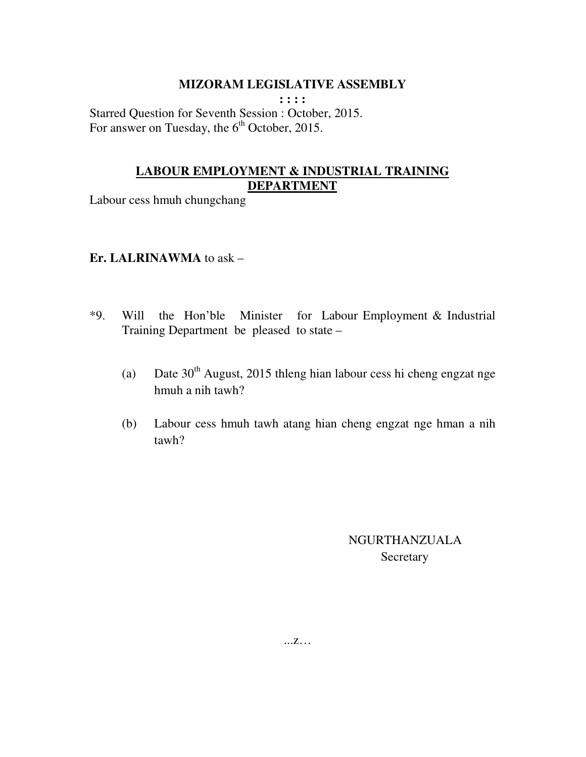**: : : :**  Starred Question for Seventh Session : October, 2015. For answer on Tuesday, the  $6<sup>th</sup>$  October, 2015.

## **LABOUR EMPLOYMENT & INDUSTRIAL TRAINING DEPARTMENT**

Labour cess hmuh chungchang

#### **Er. LALRINAWMA** to ask –

- \*9. Will the Hon'ble Minister for Labour Employment & Industrial Training Department be pleased to state –
	- (a) Date  $30<sup>th</sup>$  August, 2015 thleng hian labour cess hi cheng engzat nge hmuh a nih tawh?
	- (b) Labour cess hmuh tawh atang hian cheng engzat nge hman a nih tawh?

 NGURTHANZUALA Secretary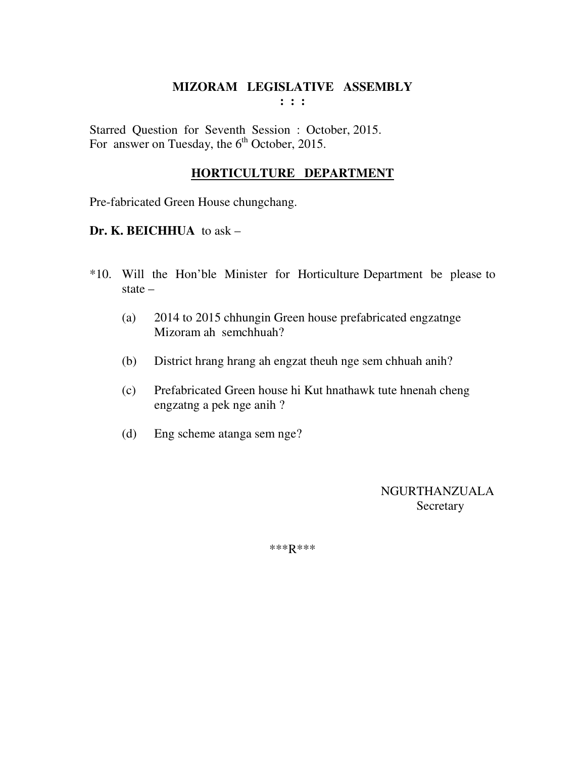Starred Question for Seventh Session : October, 2015. For answer on Tuesday, the  $6<sup>th</sup>$  October, 2015.

## **HORTICULTURE DEPARTMENT**

Pre-fabricated Green House chungchang.

#### **Dr. K. BEICHHUA** to ask –

- \*10. Will the Hon'ble Minister for Horticulture Department be please to state –
	- (a) 2014 to 2015 chhungin Green house prefabricated engzatnge Mizoram ah semchhuah?
	- (b) District hrang hrang ah engzat theuh nge sem chhuah anih?
	- (c) Prefabricated Green house hi Kut hnathawk tute hnenah cheng engzatng a pek nge anih ?
	- (d) Eng scheme atanga sem nge?

 NGURTHANZUALA **Secretary** 

\*\*\*R\*\*\*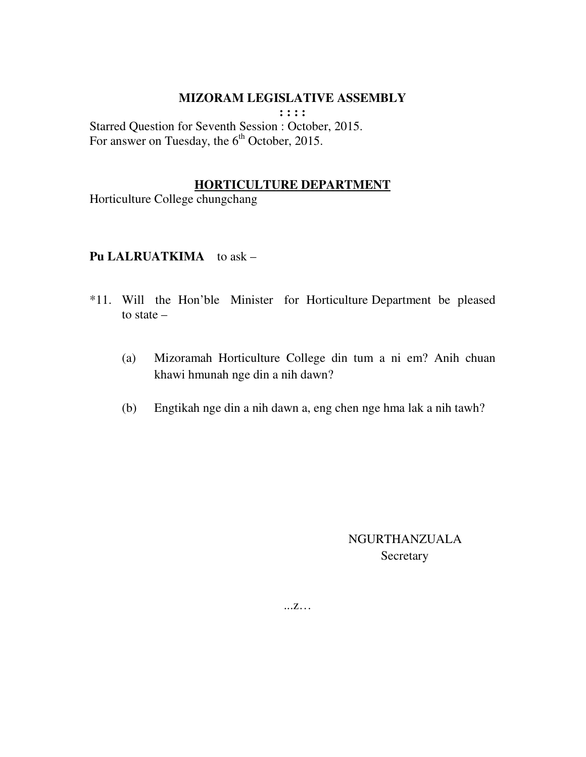**: : : :** 

Starred Question for Seventh Session : October, 2015. For answer on Tuesday, the  $6<sup>th</sup>$  October, 2015.

#### **HORTICULTURE DEPARTMENT**

Horticulture College chungchang

## **Pu LALRUATKIMA** to ask –

- \*11. Will the Hon'ble Minister for Horticulture Department be pleased to state –
	- (a) Mizoramah Horticulture College din tum a ni em? Anih chuan khawi hmunah nge din a nih dawn?
	- (b) Engtikah nge din a nih dawn a, eng chen nge hma lak a nih tawh?

 NGURTHANZUALA Secretary